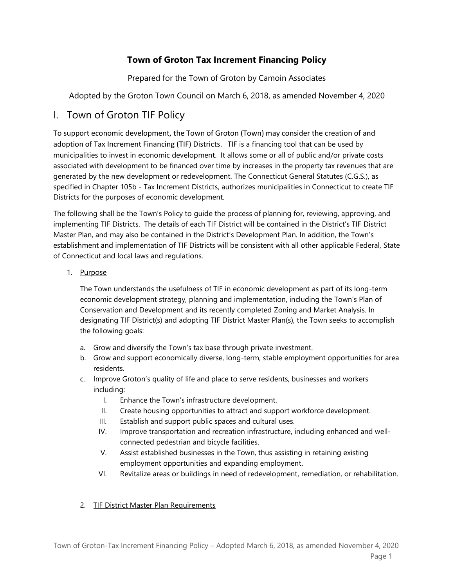# **Town of Groton Tax Increment Financing Policy**

Prepared for the Town of Groton by Camoin Associates

Adopted by the Groton Town Council on March 6, 2018, as amended November 4, 2020

# I. Town of Groton TIF Policy

To support economic development, the Town of Groton (Town) may consider the creation of and adoption of Tax Increment Financing (TIF) Districts. TIF is a financing tool that can be used by municipalities to invest in economic development. It allows some or all of public and/or private costs associated with development to be financed over time by increases in the property tax revenues that are generated by the new development or redevelopment. The Connecticut General Statutes (C.G.S.), as specified in Chapter 105b - Tax Increment Districts, authorizes municipalities in Connecticut to create TIF Districts for the purposes of economic development.

The following shall be the Town's Policy to guide the process of planning for, reviewing, approving, and implementing TIF Districts. The details of each TIF District will be contained in the District's TIF District Master Plan, and may also be contained in the District's Development Plan. In addition, the Town's establishment and implementation of TIF Districts will be consistent with all other applicable Federal, State of Connecticut and local laws and regulations.

1. Purpose

The Town understands the usefulness of TIF in economic development as part of its long-term economic development strategy, planning and implementation, including the Town's Plan of Conservation and Development and its recently completed Zoning and Market Analysis. In designating TIF District(s) and adopting TIF District Master Plan(s), the Town seeks to accomplish the following goals:

- a. Grow and diversify the Town's tax base through private investment.
- b. Grow and support economically diverse, long-term, stable employment opportunities for area residents.
- c. Improve Groton's quality of life and place to serve residents, businesses and workers including:
	- I. Enhance the Town's infrastructure development.
	- II. Create housing opportunities to attract and support workforce development.
	- III. Establish and support public spaces and cultural uses.
	- IV. Improve transportation and recreation infrastructure, including enhanced and wellconnected pedestrian and bicycle facilities.
	- V. Assist established businesses in the Town, thus assisting in retaining existing employment opportunities and expanding employment.
	- VI. Revitalize areas or buildings in need of redevelopment, remediation, or rehabilitation.

## 2. TIF District Master Plan Requirements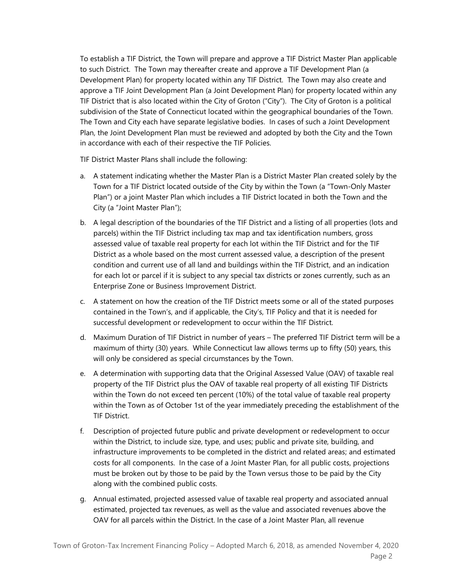To establish a TIF District, the Town will prepare and approve a TIF District Master Plan applicable to such District. The Town may thereafter create and approve a TIF Development Plan (a Development Plan) for property located within any TIF District. The Town may also create and approve a TIF Joint Development Plan (a Joint Development Plan) for property located within any TIF District that is also located within the City of Groton ("City"). The City of Groton is a political subdivision of the State of Connecticut located within the geographical boundaries of the Town. The Town and City each have separate legislative bodies. In cases of such a Joint Development Plan, the Joint Development Plan must be reviewed and adopted by both the City and the Town in accordance with each of their respective the TIF Policies.

TIF District Master Plans shall include the following:

- a. A statement indicating whether the Master Plan is a District Master Plan created solely by the Town for a TIF District located outside of the City by within the Town (a "Town-Only Master Plan") or a joint Master Plan which includes a TIF District located in both the Town and the City (a "Joint Master Plan");
- b. A legal description of the boundaries of the TIF District and a listing of all properties (lots and parcels) within the TIF District including tax map and tax identification numbers, gross assessed value of taxable real property for each lot within the TIF District and for the TIF District as a whole based on the most current assessed value, a description of the present condition and current use of all land and buildings within the TIF District, and an indication for each lot or parcel if it is subject to any special tax districts or zones currently, such as an Enterprise Zone or Business Improvement District.
- c. A statement on how the creation of the TIF District meets some or all of the stated purposes contained in the Town's, and if applicable, the City's, TIF Policy and that it is needed for successful development or redevelopment to occur within the TIF District.
- d. Maximum Duration of TIF District in number of years The preferred TIF District term will be a maximum of thirty (30) years. While Connecticut law allows terms up to fifty (50) years, this will only be considered as special circumstances by the Town.
- e. A determination with supporting data that the Original Assessed Value (OAV) of taxable real property of the TIF District plus the OAV of taxable real property of all existing TIF Districts within the Town do not exceed ten percent (10%) of the total value of taxable real property within the Town as of October 1st of the year immediately preceding the establishment of the TIF District.
- f. Description of projected future public and private development or redevelopment to occur within the District, to include size, type, and uses; public and private site, building, and infrastructure improvements to be completed in the district and related areas; and estimated costs for all components. In the case of a Joint Master Plan, for all public costs, projections must be broken out by those to be paid by the Town versus those to be paid by the City along with the combined public costs.
- g. Annual estimated, projected assessed value of taxable real property and associated annual estimated, projected tax revenues, as well as the value and associated revenues above the OAV for all parcels within the District. In the case of a Joint Master Plan, all revenue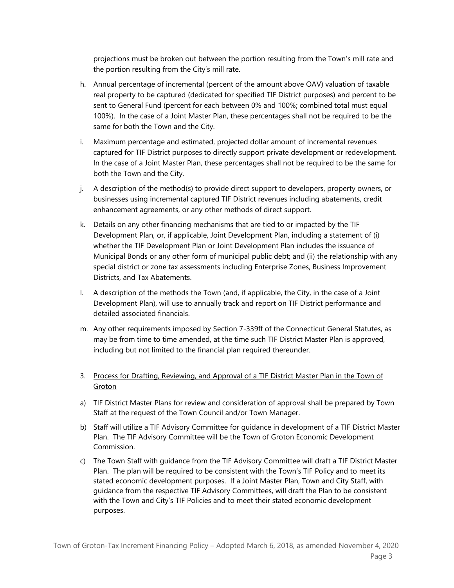projections must be broken out between the portion resulting from the Town's mill rate and the portion resulting from the City's mill rate.

- h. Annual percentage of incremental (percent of the amount above OAV) valuation of taxable real property to be captured (dedicated for specified TIF District purposes) and percent to be sent to General Fund (percent for each between 0% and 100%; combined total must equal 100%). In the case of a Joint Master Plan, these percentages shall not be required to be the same for both the Town and the City.
- i. Maximum percentage and estimated, projected dollar amount of incremental revenues captured for TIF District purposes to directly support private development or redevelopment. In the case of a Joint Master Plan, these percentages shall not be required to be the same for both the Town and the City.
- j. A description of the method(s) to provide direct support to developers, property owners, or businesses using incremental captured TIF District revenues including abatements, credit enhancement agreements, or any other methods of direct support.
- k. Details on any other financing mechanisms that are tied to or impacted by the TIF Development Plan, or, if applicable, Joint Development Plan, including a statement of (i) whether the TIF Development Plan or Joint Development Plan includes the issuance of Municipal Bonds or any other form of municipal public debt; and (ii) the relationship with any special district or zone tax assessments including Enterprise Zones, Business Improvement Districts, and Tax Abatements.
- l. A description of the methods the Town (and, if applicable, the City, in the case of a Joint Development Plan), will use to annually track and report on TIF District performance and detailed associated financials.
- m. Any other requirements imposed by Section 7-339ff of the Connecticut General Statutes, as may be from time to time amended, at the time such TIF District Master Plan is approved, including but not limited to the financial plan required thereunder.
- 3. Process for Drafting, Reviewing, and Approval of a TIF District Master Plan in the Town of **Groton**
- a) TIF District Master Plans for review and consideration of approval shall be prepared by Town Staff at the request of the Town Council and/or Town Manager.
- b) Staff will utilize a TIF Advisory Committee for guidance in development of a TIF District Master Plan. The TIF Advisory Committee will be the Town of Groton Economic Development Commission.
- c) The Town Staff with guidance from the TIF Advisory Committee will draft a TIF District Master Plan. The plan will be required to be consistent with the Town's TIF Policy and to meet its stated economic development purposes. If a Joint Master Plan, Town and City Staff, with guidance from the respective TIF Advisory Committees, will draft the Plan to be consistent with the Town and City's TIF Policies and to meet their stated economic development purposes.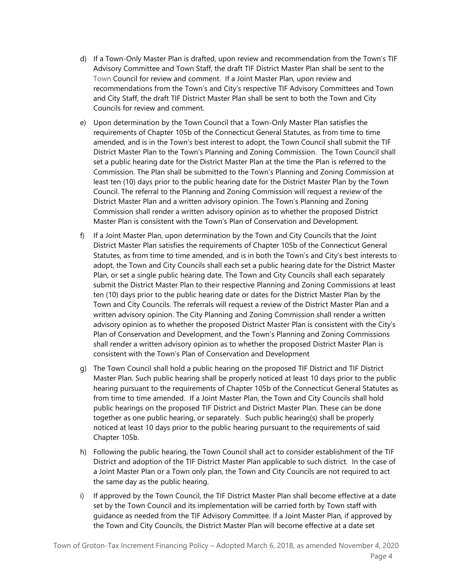- d) If a Town-Only Master Plan is drafted, upon review and recommendation from the Town's TIF Advisory Committee and Town Staff, the draft TIF District Master Plan shall be sent to the Town Council for review and comment. If a Joint Master Plan, upon review and recommendations from the Town's and City's respective TIF Advisory Committees and Town and City Staff, the draft TIF District Master Plan shall be sent to both the Town and City Councils for review and comment.
- e) Upon determination by the Town Council that a Town-Only Master Plan satisfies the requirements of Chapter 105b of the Connecticut General Statutes, as from time to time amended, and is in the Town's best interest to adopt, the Town Council shall submit the TIF District Master Plan to the Town's Planning and Zoning Commission. The Town Council shall set a public hearing date for the District Master Plan at the time the Plan is referred to the Commission. The Plan shall be submitted to the Town's Planning and Zoning Commission at least ten (10) days prior to the public hearing date for the District Master Plan by the Town Council. The referral to the Planning and Zoning Commission will request a review of the District Master Plan and a written advisory opinion. The Town's Planning and Zoning Commission shall render a written advisory opinion as to whether the proposed District Master Plan is consistent with the Town's Plan of Conservation and Development.
- f) If a Joint Master Plan, upon determination by the Town and City Councils that the Joint District Master Plan satisfies the requirements of Chapter 105b of the Connecticut General Statutes, as from time to time amended, and is in both the Town's and City's best interests to adopt, the Town and City Councils shall each set a public hearing date for the District Master Plan, or set a single public hearing date. The Town and City Councils shall each separately submit the District Master Plan to their respective Planning and Zoning Commissions at least ten (10) days prior to the public hearing date or dates for the District Master Plan by the Town and City Councils. The referrals will request a review of the District Master Plan and a written advisory opinion. The City Planning and Zoning Commission shall render a written advisory opinion as to whether the proposed District Master Plan is consistent with the City's Plan of Conservation and Development, and the Town's Planning and Zoning Commissions shall render a written advisory opinion as to whether the proposed District Master Plan is consistent with the Town's Plan of Conservation and Development
- g) The Town Council shall hold a public hearing on the proposed TIF District and TIF District Master Plan. Such public hearing shall be properly noticed at least 10 days prior to the public hearing pursuant to the requirements of Chapter 105b of the Connecticut General Statutes as from time to time amended. If a Joint Master Plan, the Town and City Councils shall hold public hearings on the proposed TIF District and District Master Plan. These can be done together as one public hearing, or separately. Such public hearing(s) shall be properly noticed at least 10 days prior to the public hearing pursuant to the requirements of said Chapter 105b.
- h) Following the public hearing, the Town Council shall act to consider establishment of the TIF District and adoption of the TIF District Master Plan applicable to such district. In the case of a Joint Master Plan or a Town only plan, the Town and City Councils are not required to act the same day as the public hearing.
- i) If approved by the Town Council, the TIF District Master Plan shall become effective at a date set by the Town Council and its implementation will be carried forth by Town staff with guidance as needed from the TIF Advisory Committee. If a Joint Master Plan, if approved by the Town and City Councils, the District Master Plan will become effective at a date set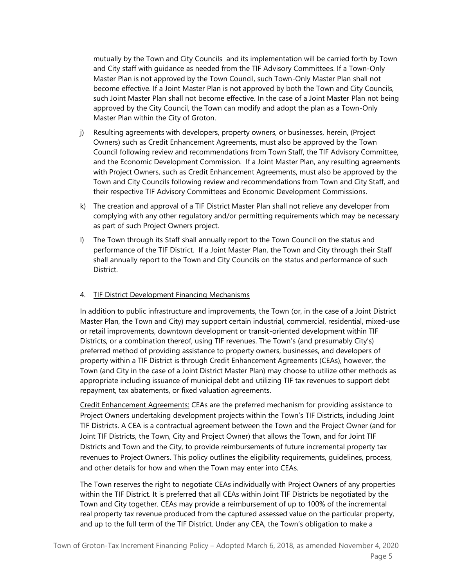mutually by the Town and City Councils and its implementation will be carried forth by Town and City staff with guidance as needed from the TIF Advisory Committees. If a Town-Only Master Plan is not approved by the Town Council, such Town-Only Master Plan shall not become effective. If a Joint Master Plan is not approved by both the Town and City Councils, such Joint Master Plan shall not become effective. In the case of a Joint Master Plan not being approved by the City Council, the Town can modify and adopt the plan as a Town-Only Master Plan within the City of Groton.

- j) Resulting agreements with developers, property owners, or businesses, herein, (Project Owners) such as Credit Enhancement Agreements, must also be approved by the Town Council following review and recommendations from Town Staff, the TIF Advisory Committee, and the Economic Development Commission. If a Joint Master Plan, any resulting agreements with Project Owners, such as Credit Enhancement Agreements, must also be approved by the Town and City Councils following review and recommendations from Town and City Staff, and their respective TIF Advisory Committees and Economic Development Commissions.
- k) The creation and approval of a TIF District Master Plan shall not relieve any developer from complying with any other regulatory and/or permitting requirements which may be necessary as part of such Project Owners project.
- l) The Town through its Staff shall annually report to the Town Council on the status and performance of the TIF District. If a Joint Master Plan, the Town and City through their Staff shall annually report to the Town and City Councils on the status and performance of such District.

### 4. TIF District Development Financing Mechanisms

In addition to public infrastructure and improvements, the Town (or, in the case of a Joint District Master Plan, the Town and City) may support certain industrial, commercial, residential, mixed-use or retail improvements, downtown development or transit-oriented development within TIF Districts, or a combination thereof, using TIF revenues. The Town's (and presumably City's) preferred method of providing assistance to property owners, businesses, and developers of property within a TIF District is through Credit Enhancement Agreements (CEAs), however, the Town (and City in the case of a Joint District Master Plan) may choose to utilize other methods as appropriate including issuance of municipal debt and utilizing TIF tax revenues to support debt repayment, tax abatements, or fixed valuation agreements.

Credit Enhancement Agreements: CEAs are the preferred mechanism for providing assistance to Project Owners undertaking development projects within the Town's TIF Districts, including Joint TIF Districts. A CEA is a contractual agreement between the Town and the Project Owner (and for Joint TIF Districts, the Town, City and Project Owner) that allows the Town, and for Joint TIF Districts and Town and the City, to provide reimbursements of future incremental property tax revenues to Project Owners. This policy outlines the eligibility requirements, guidelines, process, and other details for how and when the Town may enter into CEAs.

The Town reserves the right to negotiate CEAs individually with Project Owners of any properties within the TIF District. It is preferred that all CEAs within Joint TIF Districts be negotiated by the Town and City together. CEAs may provide a reimbursement of up to 100% of the incremental real property tax revenue produced from the captured assessed value on the particular property, and up to the full term of the TIF District. Under any CEA, the Town's obligation to make a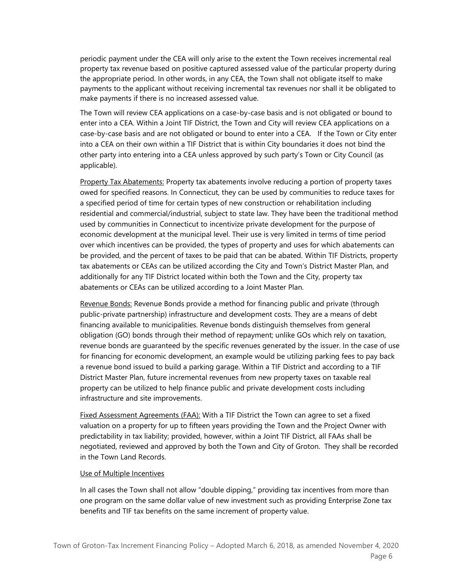periodic payment under the CEA will only arise to the extent the Town receives incremental real property tax revenue based on positive captured assessed value of the particular property during the appropriate period. In other words, in any CEA, the Town shall not obligate itself to make payments to the applicant without receiving incremental tax revenues nor shall it be obligated to make payments if there is no increased assessed value.

The Town will review CEA applications on a case-by-case basis and is not obligated or bound to enter into a CEA. Within a Joint TIF District, the Town and City will review CEA applications on a case-by-case basis and are not obligated or bound to enter into a CEA. If the Town or City enter into a CEA on their own within a TIF District that is within City boundaries it does not bind the other party into entering into a CEA unless approved by such party's Town or City Council (as applicable).

Property Tax Abatements: Property tax abatements involve reducing a portion of property taxes owed for specified reasons. In Connecticut, they can be used by communities to reduce taxes for a specified period of time for certain types of new construction or rehabilitation including residential and commercial/industrial, subject to state law. They have been the traditional method used by communities in Connecticut to incentivize private development for the purpose of economic development at the municipal level. Their use is very limited in terms of time period over which incentives can be provided, the types of property and uses for which abatements can be provided, and the percent of taxes to be paid that can be abated. Within TIF Districts, property tax abatements or CEAs can be utilized according the City and Town's District Master Plan, and additionally for any TIF District located within both the Town and the City, property tax abatements or CEAs can be utilized according to a Joint Master Plan.

Revenue Bonds: Revenue Bonds provide a method for financing public and private (through public-private partnership) infrastructure and development costs. They are a means of debt financing available to municipalities. Revenue bonds distinguish themselves from general obligation (GO) bonds through their method of repayment; unlike GOs which rely on taxation, revenue bonds are guaranteed by the specific revenues generated by the issuer. In the case of use for financing for economic development, an example would be utilizing parking fees to pay back a revenue bond issued to build a parking garage. Within a TIF District and according to a TIF District Master Plan, future incremental revenues from new property taxes on taxable real property can be utilized to help finance public and private development costs including infrastructure and site improvements.

Fixed Assessment Agreements (FAA): With a TIF District the Town can agree to set a fixed valuation on a property for up to fifteen years providing the Town and the Project Owner with predictability in tax liability; provided, however, within a Joint TIF District, all FAAs shall be negotiated, reviewed and approved by both the Town and City of Groton. They shall be recorded in the Town Land Records.

#### Use of Multiple Incentives

In all cases the Town shall not allow "double dipping," providing tax incentives from more than one program on the same dollar value of new investment such as providing Enterprise Zone tax benefits and TIF tax benefits on the same increment of property value.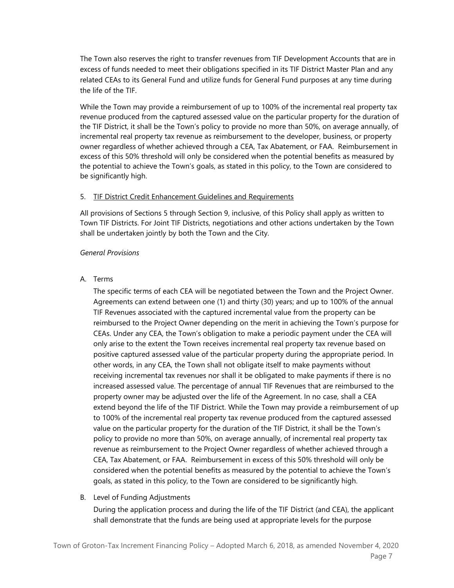The Town also reserves the right to transfer revenues from TIF Development Accounts that are in excess of funds needed to meet their obligations specified in its TIF District Master Plan and any related CEAs to its General Fund and utilize funds for General Fund purposes at any time during the life of the TIF.

While the Town may provide a reimbursement of up to 100% of the incremental real property tax revenue produced from the captured assessed value on the particular property for the duration of the TIF District, it shall be the Town's policy to provide no more than 50%, on average annually, of incremental real property tax revenue as reimbursement to the developer, business, or property owner regardless of whether achieved through a CEA, Tax Abatement, or FAA. Reimbursement in excess of this 50% threshold will only be considered when the potential benefits as measured by the potential to achieve the Town's goals, as stated in this policy, to the Town are considered to be significantly high.

#### 5. TIF District Credit Enhancement Guidelines and Requirements

All provisions of Sections 5 through Section 9, inclusive, of this Policy shall apply as written to Town TIF Districts. For Joint TIF Districts, negotiations and other actions undertaken by the Town shall be undertaken jointly by both the Town and the City.

#### *General Provisions*

#### A. Terms

The specific terms of each CEA will be negotiated between the Town and the Project Owner. Agreements can extend between one (1) and thirty (30) years; and up to 100% of the annual TIF Revenues associated with the captured incremental value from the property can be reimbursed to the Project Owner depending on the merit in achieving the Town's purpose for CEAs. Under any CEA, the Town's obligation to make a periodic payment under the CEA will only arise to the extent the Town receives incremental real property tax revenue based on positive captured assessed value of the particular property during the appropriate period. In other words, in any CEA, the Town shall not obligate itself to make payments without receiving incremental tax revenues nor shall it be obligated to make payments if there is no increased assessed value. The percentage of annual TIF Revenues that are reimbursed to the property owner may be adjusted over the life of the Agreement. In no case, shall a CEA extend beyond the life of the TIF District. While the Town may provide a reimbursement of up to 100% of the incremental real property tax revenue produced from the captured assessed value on the particular property for the duration of the TIF District, it shall be the Town's policy to provide no more than 50%, on average annually, of incremental real property tax revenue as reimbursement to the Project Owner regardless of whether achieved through a CEA, Tax Abatement, or FAA. Reimbursement in excess of this 50% threshold will only be considered when the potential benefits as measured by the potential to achieve the Town's goals, as stated in this policy, to the Town are considered to be significantly high.

#### B. Level of Funding Adjustments

During the application process and during the life of the TIF District (and CEA), the applicant shall demonstrate that the funds are being used at appropriate levels for the purpose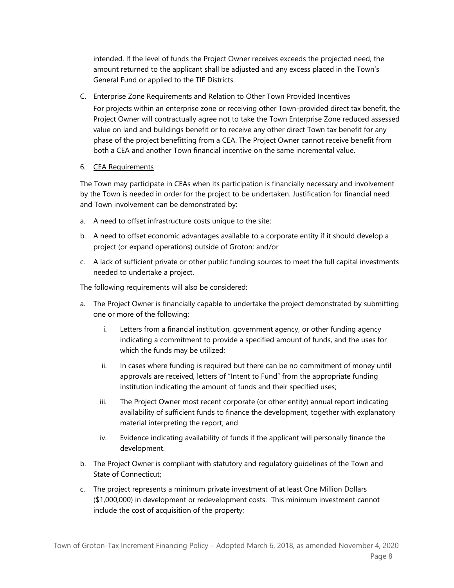intended. If the level of funds the Project Owner receives exceeds the projected need, the amount returned to the applicant shall be adjusted and any excess placed in the Town's General Fund or applied to the TIF Districts.

C. Enterprise Zone Requirements and Relation to Other Town Provided Incentives

For projects within an enterprise zone or receiving other Town-provided direct tax benefit, the Project Owner will contractually agree not to take the Town Enterprise Zone reduced assessed value on land and buildings benefit or to receive any other direct Town tax benefit for any phase of the project benefitting from a CEA. The Project Owner cannot receive benefit from both a CEA and another Town financial incentive on the same incremental value.

6. CEA Requirements

The Town may participate in CEAs when its participation is financially necessary and involvement by the Town is needed in order for the project to be undertaken. Justification for financial need and Town involvement can be demonstrated by:

- a. A need to offset infrastructure costs unique to the site;
- b. A need to offset economic advantages available to a corporate entity if it should develop a project (or expand operations) outside of Groton; and/or
- c. A lack of sufficient private or other public funding sources to meet the full capital investments needed to undertake a project.

The following requirements will also be considered:

- a. The Project Owner is financially capable to undertake the project demonstrated by submitting one or more of the following:
	- i. Letters from a financial institution, government agency, or other funding agency indicating a commitment to provide a specified amount of funds, and the uses for which the funds may be utilized;
	- ii. In cases where funding is required but there can be no commitment of money until approvals are received, letters of "Intent to Fund" from the appropriate funding institution indicating the amount of funds and their specified uses;
	- iii. The Project Owner most recent corporate (or other entity) annual report indicating availability of sufficient funds to finance the development, together with explanatory material interpreting the report; and
	- iv. Evidence indicating availability of funds if the applicant will personally finance the development.
- b. The Project Owner is compliant with statutory and regulatory guidelines of the Town and State of Connecticut;
- c. The project represents a minimum private investment of at least One Million Dollars (\$1,000,000) in development or redevelopment costs. This minimum investment cannot include the cost of acquisition of the property;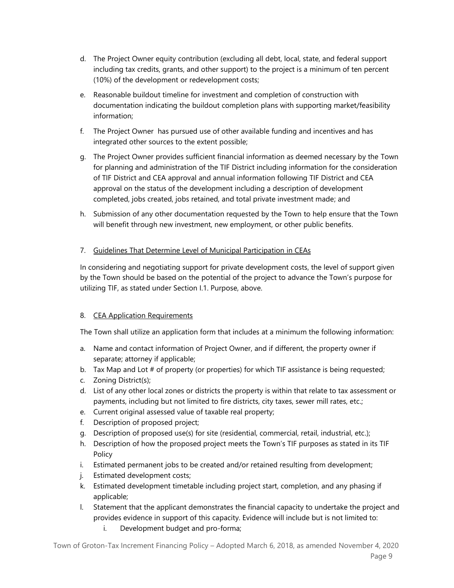- d. The Project Owner equity contribution (excluding all debt, local, state, and federal support including tax credits, grants, and other support) to the project is a minimum of ten percent (10%) of the development or redevelopment costs;
- e. Reasonable buildout timeline for investment and completion of construction with documentation indicating the buildout completion plans with supporting market/feasibility information;
- f. The Project Owner has pursued use of other available funding and incentives and has integrated other sources to the extent possible;
- g. The Project Owner provides sufficient financial information as deemed necessary by the Town for planning and administration of the TIF District including information for the consideration of TIF District and CEA approval and annual information following TIF District and CEA approval on the status of the development including a description of development completed, jobs created, jobs retained, and total private investment made; and
- h. Submission of any other documentation requested by the Town to help ensure that the Town will benefit through new investment, new employment, or other public benefits.

# 7. Guidelines That Determine Level of Municipal Participation in CEAs

In considering and negotiating support for private development costs, the level of support given by the Town should be based on the potential of the project to advance the Town's purpose for utilizing TIF, as stated under Section I.1. Purpose, above.

## 8. CEA Application Requirements

The Town shall utilize an application form that includes at a minimum the following information:

- a. Name and contact information of Project Owner, and if different, the property owner if separate; attorney if applicable;
- b. Tax Map and Lot # of property (or properties) for which TIF assistance is being requested;
- c. Zoning District(s);
- d. List of any other local zones or districts the property is within that relate to tax assessment or payments, including but not limited to fire districts, city taxes, sewer mill rates, etc.;
- e. Current original assessed value of taxable real property;
- f. Description of proposed project;
- g. Description of proposed use(s) for site (residential, commercial, retail, industrial, etc.);
- h. Description of how the proposed project meets the Town's TIF purposes as stated in its TIF Policy
- i. Estimated permanent jobs to be created and/or retained resulting from development;
- j. Estimated development costs;
- k. Estimated development timetable including project start, completion, and any phasing if applicable;
- l. Statement that the applicant demonstrates the financial capacity to undertake the project and provides evidence in support of this capacity. Evidence will include but is not limited to:
	- i. Development budget and pro-forma;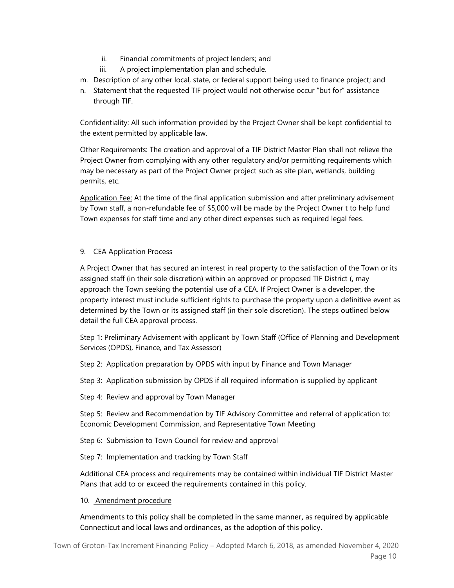- ii. Financial commitments of project lenders; and
- iii. A project implementation plan and schedule.
- m. Description of any other local, state, or federal support being used to finance project; and
- n. Statement that the requested TIF project would not otherwise occur "but for" assistance through TIF.

Confidentiality: All such information provided by the Project Owner shall be kept confidential to the extent permitted by applicable law.

Other Requirements: The creation and approval of a TIF District Master Plan shall not relieve the Project Owner from complying with any other regulatory and/or permitting requirements which may be necessary as part of the Project Owner project such as site plan, wetlands, building permits, etc.

Application Fee: At the time of the final application submission and after preliminary advisement by Town staff, a non-refundable fee of \$5,000 will be made by the Project Owner t to help fund Town expenses for staff time and any other direct expenses such as required legal fees.

# 9. CEA Application Process

A Project Owner that has secured an interest in real property to the satisfaction of the Town or its assigned staff (in their sole discretion) within an approved or proposed TIF District (, may approach the Town seeking the potential use of a CEA. If Project Owner is a developer, the property interest must include sufficient rights to purchase the property upon a definitive event as determined by the Town or its assigned staff (in their sole discretion). The steps outlined below detail the full CEA approval process.

Step 1: Preliminary Advisement with applicant by Town Staff (Office of Planning and Development Services (OPDS), Finance, and Tax Assessor)

Step 2: Application preparation by OPDS with input by Finance and Town Manager

Step 3: Application submission by OPDS if all required information is supplied by applicant

Step 4: Review and approval by Town Manager

Step 5: Review and Recommendation by TIF Advisory Committee and referral of application to: Economic Development Commission, and Representative Town Meeting

Step 6: Submission to Town Council for review and approval

Step 7: Implementation and tracking by Town Staff

Additional CEA process and requirements may be contained within individual TIF District Master Plans that add to or exceed the requirements contained in this policy.

### 10. Amendment procedure

Amendments to this policy shall be completed in the same manner, as required by applicable Connecticut and local laws and ordinances, as the adoption of this policy.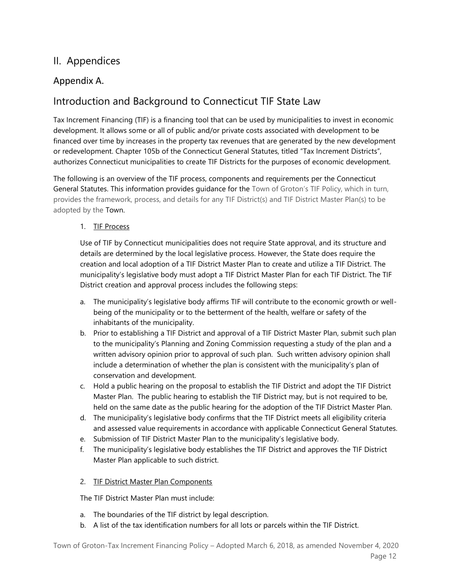# II. Appendices

# Appendix A.

# Introduction and Background to Connecticut TIF State Law

Tax Increment Financing (TIF) is a financing tool that can be used by municipalities to invest in economic development. It allows some or all of public and/or private costs associated with development to be financed over time by increases in the property tax revenues that are generated by the new development or redevelopment. Chapter 105b of the Connecticut General Statutes, titled "Tax Increment Districts", authorizes Connecticut municipalities to create TIF Districts for the purposes of economic development.

The following is an overview of the TIF process, components and requirements per the Connecticut General Statutes. This information provides guidance for the Town of Groton's TIF Policy, which in turn, provides the framework, process, and details for any TIF District(s) and TIF District Master Plan(s) to be adopted by the Town.

# 1. TIF Process

Use of TIF by Connecticut municipalities does not require State approval, and its structure and details are determined by the local legislative process. However, the State does require the creation and local adoption of a TIF District Master Plan to create and utilize a TIF District. The municipality's legislative body must adopt a TIF District Master Plan for each TIF District. The TIF District creation and approval process includes the following steps:

- a. The municipality's legislative body affirms TIF will contribute to the economic growth or wellbeing of the municipality or to the betterment of the health, welfare or safety of the inhabitants of the municipality.
- b. Prior to establishing a TIF District and approval of a TIF District Master Plan, submit such plan to the municipality's Planning and Zoning Commission requesting a study of the plan and a written advisory opinion prior to approval of such plan. Such written advisory opinion shall include a determination of whether the plan is consistent with the municipality's plan of conservation and development.
- c. Hold a public hearing on the proposal to establish the TIF District and adopt the TIF District Master Plan. The public hearing to establish the TIF District may, but is not required to be, held on the same date as the public hearing for the adoption of the TIF District Master Plan.
- d. The municipality's legislative body confirms that the TIF District meets all eligibility criteria and assessed value requirements in accordance with applicable Connecticut General Statutes.
- e. Submission of TIF District Master Plan to the municipality's legislative body.
- f. The municipality's legislative body establishes the TIF District and approves the TIF District Master Plan applicable to such district.

# 2. TIF District Master Plan Components

The TIF District Master Plan must include:

- a. The boundaries of the TIF district by legal description.
- b. A list of the tax identification numbers for all lots or parcels within the TIF District.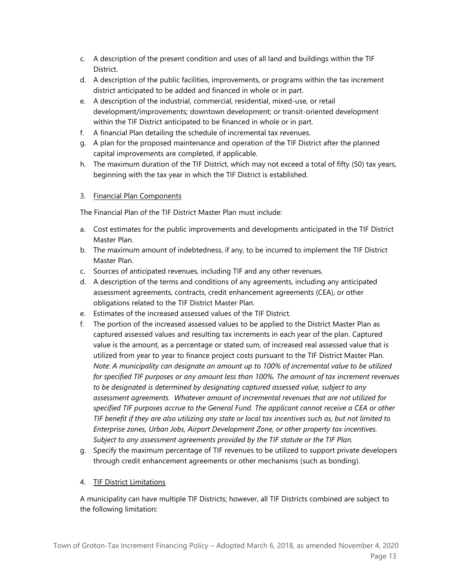- c. A description of the present condition and uses of all land and buildings within the TIF **District**
- d. A description of the public facilities, improvements, or programs within the tax increment district anticipated to be added and financed in whole or in part.
- e. A description of the industrial, commercial, residential, mixed-use, or retail development/improvements; downtown development; or transit-oriented development within the TIF District anticipated to be financed in whole or in part.
- f. A financial Plan detailing the schedule of incremental tax revenues.
- g. A plan for the proposed maintenance and operation of the TIF District after the planned capital improvements are completed, if applicable.
- h. The maximum duration of the TIF District, which may not exceed a total of fifty (50) tax years, beginning with the tax year in which the TIF District is established.

## 3. Financial Plan Components

The Financial Plan of the TIF District Master Plan must include:

- a. Cost estimates for the public improvements and developments anticipated in the TIF District Master Plan.
- b. The maximum amount of indebtedness, if any, to be incurred to implement the TIF District Master Plan.
- c. Sources of anticipated revenues, including TIF and any other revenues.
- d. A description of the terms and conditions of any agreements, including any anticipated assessment agreements, contracts, credit enhancement agreements (CEA), or other obligations related to the TIF District Master Plan.
- e. Estimates of the increased assessed values of the TIF District.
- f. The portion of the increased assessed values to be applied to the District Master Plan as captured assessed values and resulting tax increments in each year of the plan. Captured value is the amount, as a percentage or stated sum, of increased real assessed value that is utilized from year to year to finance project costs pursuant to the TIF District Master Plan. *Note: A municipality can designate an amount up to 100% of incremental value to be utilized for specified TIF purposes or any amount less than 100%. The amount of tax increment revenues to be designated is determined by designating captured assessed value, subject to any assessment agreements. Whatever amount of incremental revenues that are not utilized for specified TIF purposes accrue to the General Fund. The applicant cannot receive a CEA or other TIF benefit if they are also utilizing any state or local tax incentives such as, but not limited to Enterprise zones, Urban Jobs, Airport Development Zone, or other property tax incentives. Subject to any assessment agreements provided by the TIF statute or the TIF Plan.*
- g. Specify the maximum percentage of TIF revenues to be utilized to support private developers through credit enhancement agreements or other mechanisms (such as bonding).

# 4. TIF District Limitations

A municipality can have multiple TIF Districts; however, all TIF Districts combined are subject to the following limitation: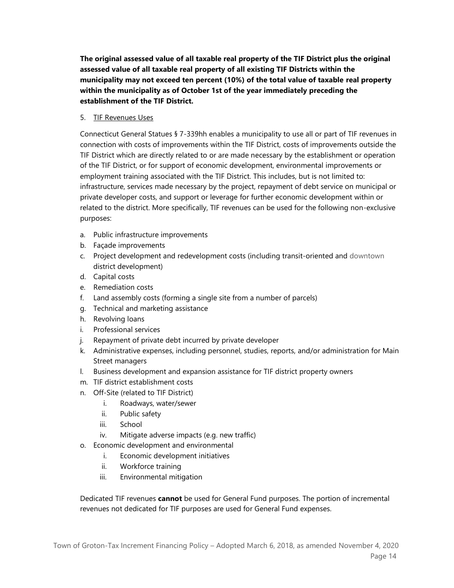**The original assessed value of all taxable real property of the TIF District plus the original assessed value of all taxable real property of all existing TIF Districts within the municipality may not exceed ten percent (10%) of the total value of taxable real property within the municipality as of October 1st of the year immediately preceding the establishment of the TIF District.** 

## 5. TIF Revenues Uses

Connecticut General Statues § 7-339hh enables a municipality to use all or part of TIF revenues in connection with costs of improvements within the TIF District, costs of improvements outside the TIF District which are directly related to or are made necessary by the establishment or operation of the TIF District, or for support of economic development, environmental improvements or employment training associated with the TIF District. This includes, but is not limited to: infrastructure, services made necessary by the project, repayment of debt service on municipal or private developer costs, and support or leverage for further economic development within or related to the district. More specifically, TIF revenues can be used for the following non-exclusive purposes:

- a. Public infrastructure improvements
- b. Façade improvements
- c. Project development and redevelopment costs (including transit-oriented and downtown district development)
- d. Capital costs
- e. Remediation costs
- f. Land assembly costs (forming a single site from a number of parcels)
- g. Technical and marketing assistance
- h. Revolving loans
- i. Professional services
- j. Repayment of private debt incurred by private developer
- k. Administrative expenses, including personnel, studies, reports, and/or administration for Main Street managers
- l. Business development and expansion assistance for TIF district property owners
- m. TIF district establishment costs
- n. Off-Site (related to TIF District)
	- i. Roadways, water/sewer
	- ii. Public safety
	- iii. School
	- iv. Mitigate adverse impacts (e.g. new traffic)
- o. Economic development and environmental
	- i. Economic development initiatives
	- ii. Workforce training
	- iii. Environmental mitigation

Dedicated TIF revenues **cannot** be used for General Fund purposes. The portion of incremental revenues not dedicated for TIF purposes are used for General Fund expenses.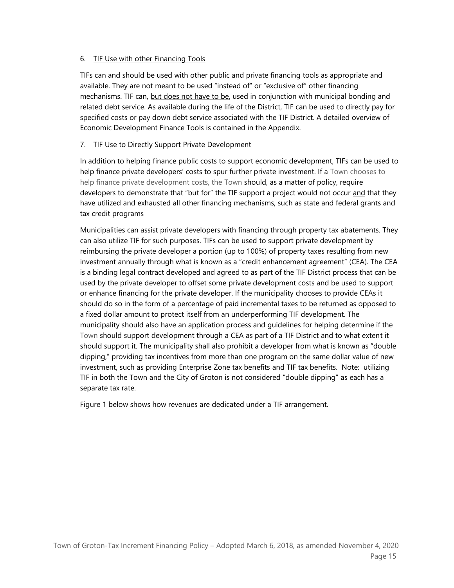## 6. TIF Use with other Financing Tools

TIFs can and should be used with other public and private financing tools as appropriate and available. They are not meant to be used "instead of" or "exclusive of" other financing mechanisms. TIF can, but does not have to be, used in conjunction with municipal bonding and related debt service. As available during the life of the District, TIF can be used to directly pay for specified costs or pay down debt service associated with the TIF District. A detailed overview of Economic Development Finance Tools is contained in the Appendix.

## 7. TIF Use to Directly Support Private Development

In addition to helping finance public costs to support economic development, TIFs can be used to help finance private developers' costs to spur further private investment. If a Town chooses to help finance private development costs, the Town should, as a matter of policy, require developers to demonstrate that "but for" the TIF support a project would not occur and that they have utilized and exhausted all other financing mechanisms, such as state and federal grants and tax credit programs

Municipalities can assist private developers with financing through property tax abatements. They can also utilize TIF for such purposes. TIFs can be used to support private development by reimbursing the private developer a portion (up to 100%) of property taxes resulting from new investment annually through what is known as a "credit enhancement agreement" (CEA). The CEA is a binding legal contract developed and agreed to as part of the TIF District process that can be used by the private developer to offset some private development costs and be used to support or enhance financing for the private developer. If the municipality chooses to provide CEAs it should do so in the form of a percentage of paid incremental taxes to be returned as opposed to a fixed dollar amount to protect itself from an underperforming TIF development. The municipality should also have an application process and guidelines for helping determine if the Town should support development through a CEA as part of a TIF District and to what extent it should support it. The municipality shall also prohibit a developer from what is known as "double dipping," providing tax incentives from more than one program on the same dollar value of new investment, such as providing Enterprise Zone tax benefits and TIF tax benefits. Note: utilizing TIF in both the Town and the City of Groton is not considered "double dipping" as each has a separate tax rate.

Figure 1 below shows how revenues are dedicated under a TIF arrangement.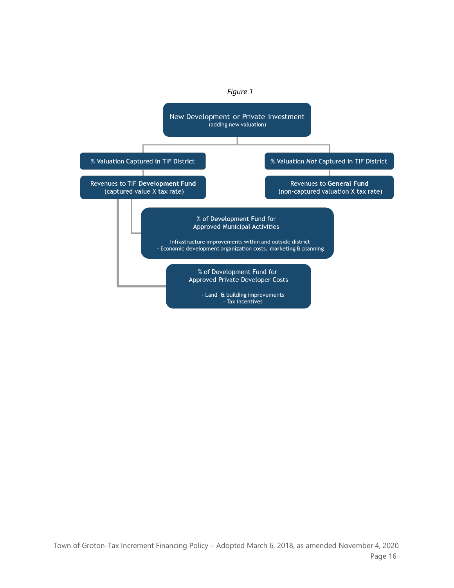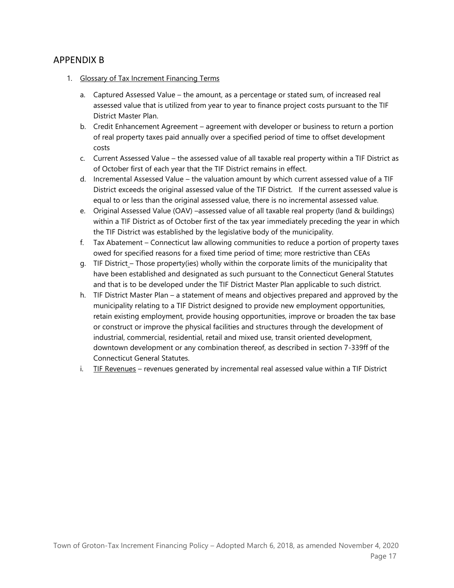# APPENDIX B

- 1. Glossary of Tax Increment Financing Terms
	- a. Captured Assessed Value the amount, as a percentage or stated sum, of increased real assessed value that is utilized from year to year to finance project costs pursuant to the TIF District Master Plan.
	- b. Credit Enhancement Agreement agreement with developer or business to return a portion of real property taxes paid annually over a specified period of time to offset development costs
	- c. Current Assessed Value the assessed value of all taxable real property within a TIF District as of October first of each year that the TIF District remains in effect.
	- d. Incremental Assessed Value the valuation amount by which current assessed value of a TIF District exceeds the original assessed value of the TIF District. If the current assessed value is equal to or less than the original assessed value, there is no incremental assessed value.
	- e. Original Assessed Value (OAV) –assessed value of all taxable real property (land & buildings) within a TIF District as of October first of the tax year immediately preceding the year in which the TIF District was established by the legislative body of the municipality.
	- f. Tax Abatement Connecticut law allowing communities to reduce a portion of property taxes owed for specified reasons for a fixed time period of time; more restrictive than CEAs
	- g. TIF District Those property(ies) wholly within the corporate limits of the municipality that have been established and designated as such pursuant to the Connecticut General Statutes and that is to be developed under the TIF District Master Plan applicable to such district.
	- h. TIF District Master Plan a statement of means and objectives prepared and approved by the municipality relating to a TIF District designed to provide new employment opportunities, retain existing employment, provide housing opportunities, improve or broaden the tax base or construct or improve the physical facilities and structures through the development of industrial, commercial, residential, retail and mixed use, transit oriented development, downtown development or any combination thereof, as described in section 7-339ff of the Connecticut General Statutes.
	- i. TIF Revenues revenues generated by incremental real assessed value within a TIF District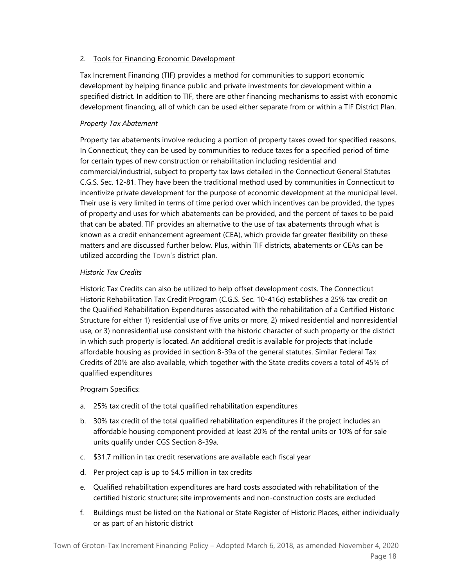## 2. Tools for Financing Economic Development

Tax Increment Financing (TIF) provides a method for communities to support economic development by helping finance public and private investments for development within a specified district. In addition to TIF, there are other financing mechanisms to assist with economic development financing, all of which can be used either separate from or within a TIF District Plan.

## *Property Tax Abatement*

Property tax abatements involve reducing a portion of property taxes owed for specified reasons. In Connecticut, they can be used by communities to reduce taxes for a specified period of time for certain types of new construction or rehabilitation including residential and commercial/industrial, subject to property tax laws detailed in the Connecticut General Statutes C.G.S. Sec. 12-81. They have been the traditional method used by communities in Connecticut to incentivize private development for the purpose of economic development at the municipal level. Their use is very limited in terms of time period over which incentives can be provided, the types of property and uses for which abatements can be provided, and the percent of taxes to be paid that can be abated. TIF provides an alternative to the use of tax abatements through what is known as a credit enhancement agreement (CEA), which provide far greater flexibility on these matters and are discussed further below. Plus, within TIF districts, abatements or CEAs can be utilized according the Town's district plan.

## *Historic Tax Credits*

Historic Tax Credits can also be utilized to help offset development costs. The Connecticut Historic Rehabilitation Tax Credit Program (C.G.S. Sec. 10-416c) establishes a 25% tax credit on the Qualified Rehabilitation Expenditures associated with the rehabilitation of a Certified Historic Structure for either 1) residential use of five units or more, 2) mixed residential and nonresidential use, or 3) nonresidential use consistent with the historic character of such property or the district in which such property is located. An additional credit is available for projects that include affordable housing as provided in section 8-39a of the general statutes. Similar Federal Tax Credits of 20% are also available, which together with the State credits covers a total of 45% of qualified expenditures

### Program Specifics:

- a. 25% tax credit of the total qualified rehabilitation expenditures
- b. 30% tax credit of the total qualified rehabilitation expenditures if the project includes an affordable housing component provided at least 20% of the rental units or 10% of for sale units qualify under CGS Section 8-39a.
- c. \$31.7 million in tax credit reservations are available each fiscal year
- d. Per project cap is up to \$4.5 million in tax credits
- e. Qualified rehabilitation expenditures are hard costs associated with rehabilitation of the certified historic structure; site improvements and non-construction costs are excluded
- f. Buildings must be listed on the National or State Register of Historic Places, either individually or as part of an historic district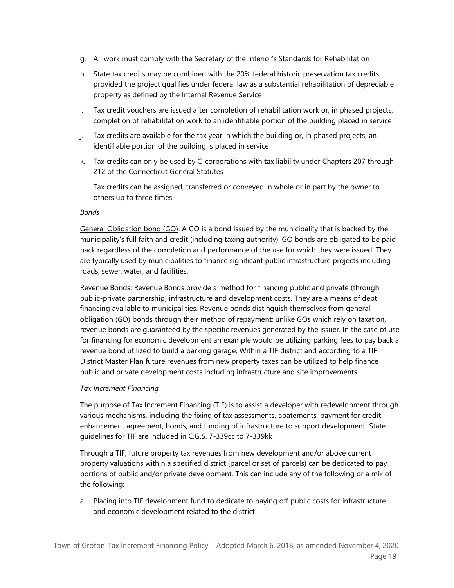- g. All work must comply with the Secretary of the Interior's Standards for Rehabilitation
- h. State tax credits may be combined with the 20% federal historic preservation tax credits provided the project qualifies under federal law as a substantial rehabilitation of depreciable property as defined by the Internal Revenue Service
- i. Tax credit vouchers are issued after completion of rehabilitation work or, in phased projects, completion of rehabilitation work to an identifiable portion of the building placed in service
- j. Tax credits are available for the tax year in which the building or, in phased projects, an identifiable portion of the building is placed in service
- k. Tax credits can only be used by C-corporations with tax liability under Chapters 207 through 212 of the Connecticut General Statutes
- l. Tax credits can be assigned, transferred or conveyed in whole or in part by the owner to others up to three times

## *Bonds*

General Obligation bond (GO): A GO is a bond issued by the municipality that is backed by the municipality's full faith and credit (including taxing authority). GO bonds are obligated to be paid back regardless of the completion and performance of the use for which they were issued. They are typically used by municipalities to finance significant public infrastructure projects including roads, sewer, water, and facilities.

Revenue Bonds: Revenue Bonds provide a method for financing public and private (through public-private partnership) infrastructure and development costs. They are a means of debt financing available to municipalities. Revenue bonds distinguish themselves from general obligation (GO) bonds through their method of repayment; unlike GOs which rely on taxation, revenue bonds are guaranteed by the specific revenues generated by the issuer. In the case of use for financing for economic development an example would be utilizing parking fees to pay back a revenue bond utilized to build a parking garage. Within a TIF district and according to a TIF District Master Plan future revenues from new property taxes can be utilized to help finance public and private development costs including infrastructure and site improvements.

## *Tax Increment Financing*

The purpose of Tax Increment Financing (TIF) is to assist a developer with redevelopment through various mechanisms, including the fixing of tax assessments, abatements, payment for credit enhancement agreement, bonds, and funding of infrastructure to support development. State guidelines for TIF are included in C.G.S. 7-339cc to 7-339kk

Through a TIF, future property tax revenues from new development and/or above current property valuations within a specified district (parcel or set of parcels) can be dedicated to pay portions of public and/or private development. This can include any of the following or a mix of the following:

a. Placing into TIF development fund to dedicate to paying off public costs for infrastructure and economic development related to the district